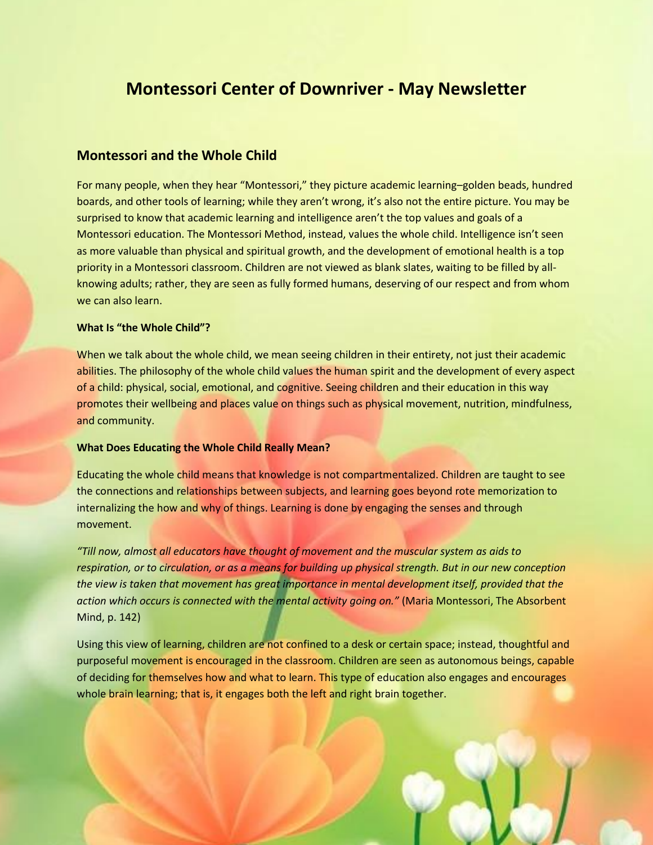# **Montessori Center of Downriver - May Newsletter**

## **Montessori and the Whole Child**

For many people, when they hear "Montessori," they picture academic learning–golden beads, hundred boards, and other tools of learning; while they aren't wrong, it's also not the entire picture. You may be surprised to know that academic learning and intelligence aren't the top values and goals of a Montessori education. The Montessori Method, instead, values the whole child. Intelligence isn't seen as more valuable than physical and spiritual growth, and the development of emotional health is a top priority in a Montessori classroom. Children are not viewed as blank slates, waiting to be filled by allknowing adults; rather, they are seen as fully formed humans, deserving of our respect and from whom we can also learn.

#### **What Is "the Whole Child"?**

When we talk about the whole child, we mean seeing children in their entirety, not just their academic abilities. The philosophy of the whole child values the human spirit and the development of every aspect of a child: physical, social, emotional, and cognitive. Seeing children and their education in this way promotes their wellbeing and places value on things such as physical movement, nutrition, mindfulness, and community.

#### **What Does Educating the Whole Child Really Mean?**

Educating the whole child means that knowledge is not compartmentalized. Children are taught to see the connections and relationships between subjects, and learning goes beyond rote memorization to internalizing the how and why of things. Learning is done by engaging the senses and through movement.

*"Till now, almost all educators have thought of movement and the muscular system as aids to respiration, or to circulation, or as a means for building up physical strength. But in our new conception the view is taken that movement has great importance in mental development itself, provided that the action which occurs is connected with the mental activity going on."* (Maria Montessori, The Absorbent Mind, p. 142)

Using this view of learning, children are not confined to a desk or certain space; instead, thoughtful and purposeful movement is encouraged in the classroom. Children are seen as autonomous beings, capable of deciding for themselves how and what to learn. This type of education also engages and encourages whole brain learning; that is, it engages both the left and right brain together.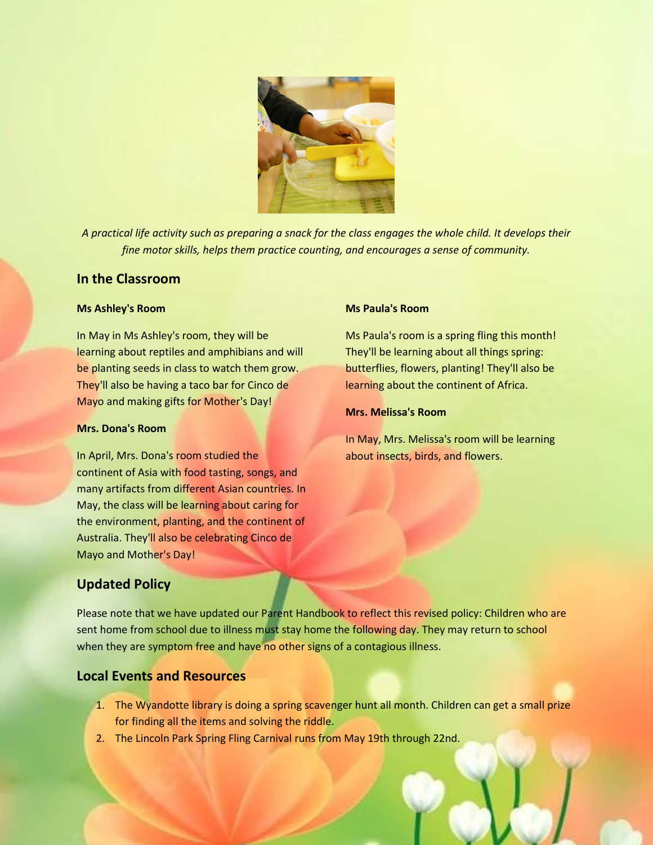

*A practical life activity such as preparing a snack for the class engages the whole child. It develops their fine motor skills, helps them practice counting, and encourages a sense of community.*

## **In the Classroom**

#### **Ms Ashley's Room**

In May in Ms Ashley's room, they will be learning about reptiles and amphibians and will be planting seeds in class to watch them grow. They'll also be having a taco bar for Cinco de Mayo and making gifts for Mother's Day!

## **Mrs. Dona's Room**

In April, Mrs. Dona's room studied the continent of Asia with food tasting, songs, and many artifacts from different Asian countries. In May, the class will be learning about caring for the environment, planting, and the continent of Australia. They'll also be celebrating Cinco de Mayo and Mother's Day!

## **Ms Paula's Room**

Ms Paula's room is a spring fling this month! They'll be learning about all things spring: butterflies, flowers, planting! They'll also be learning about the continent of Africa.

#### **Mrs. Melissa's Room**

In May, Mrs. Melissa's room will be learning about insects, birds, and flowers.

# **Updated Policy**

Please note that we have updated our Parent Handbook to reflect this revised policy: Children who are sent home from school due to illness must stay home the following day. They may return to school when they are symptom free and have no other signs of a contagious illness.

## **Local Events and Resources**

- 1. The Wyandotte library is doing a spring scavenger hunt all month. Children can get a small prize for finding all the items and solving the riddle.
- 2. The Lincoln Park Spring Fling Carnival runs from May 19th through 22nd.